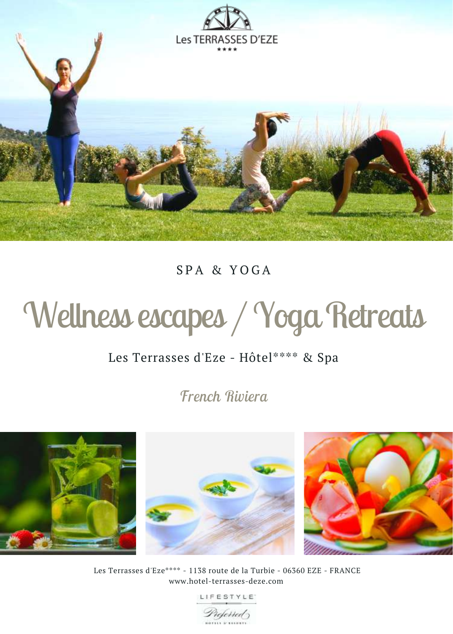

### $SPA \& YOGA$

# Wellness escapes / Yoga Retreats

### Les Terrasses d'Eze - Hôtel\*\*\*\* & Spa

*French Riviera*



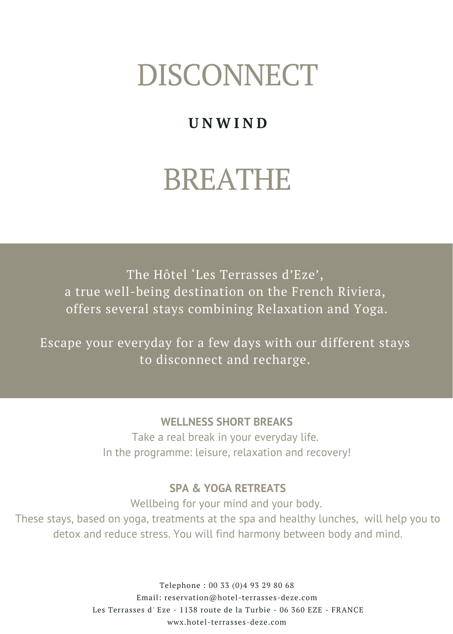## DISCONNECT

## **U N W I N D**

## BREATHE

The Hôtel 'Les Terrasses d'Eze', a true well-being destination on the French Riviera, offers several stays combining Relaxation and Yoga.

Escape your everyday for a few days with our different stays to disconnect and recharge.

#### **WELLNESS SHORT BREAKS**

Take a real break in your everyday life. In the programme: leisure, relaxation and recovery!

#### **SPA & YOGA RETREATS**

Wellbeing for your mind and your body. These stays, based on yoga, treatments at the spa and healthy lunches, will help you to detox and reduce stress. You will find harmony between body and mind.

> Telephone : 00 33 (0)4 93 29 80 68 Email: reservation@hotel-terrasses-deze.com Les Terrasses d' Eze - 1138 route de la Turbie - 06 360 EZE - FRANCE wwx.hotel-terrasses-deze.com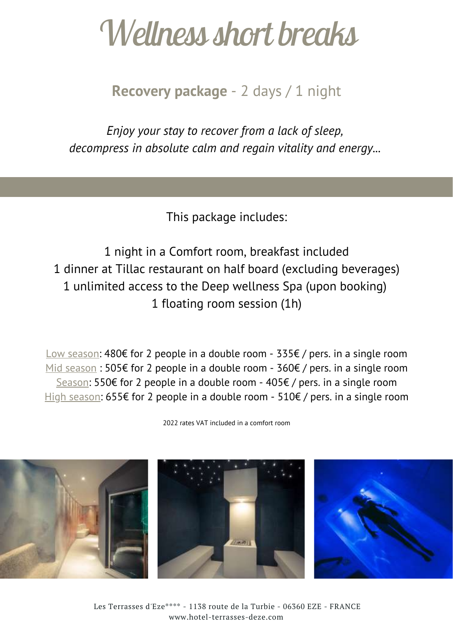## *Wellnessshort breaks*

### **Recovery package** - 2 days / 1 night

*Enjoy your stay to recover from a lack of sleep, decompress in absolute calm and regain vitality and energy...*

This package includes:

 night in a Comfort room, breakfast included dinner at Tillac restaurant on half board (excluding beverages) unlimited access to the Deep wellness Spa (upon booking) floating room session (1h)

Low season: 480€ for 2 people in a double room - 335€ / pers. in a single room Mid season : 505€ for 2 people in a double room - 360€ / pers. in a single room Season: 550€ for 2 people in a double room - 405€ / pers. in a single room High season: 655€ for 2 people in a double room - 510€ / pers. in a single room

2022 rates VAT included in a comfort room

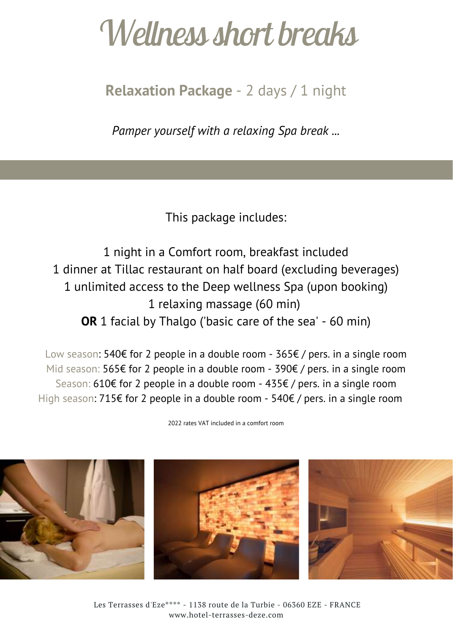# *Wellnessshort breaks*

**Relaxation Package** - 2 days / 1 night

*Pamper yourself with a relaxing Spa break ...*

This package includes:

 night in a Comfort room, breakfast included dinner at Tillac restaurant on half board (excluding beverages) unlimited access to the Deep wellness Spa (upon booking) relaxing massage (60 min) **OR** 1 facial by Thalgo ('basic care of the sea' - 60 min)

Low season: 540€ for 2 people in a double room - 365€ / pers. in a single room Mid season: 565€ for 2 people in a double room - 390€ / pers. in a single room Season: 610€ for 2 people in a double room - 435€ / pers. in a single room High season: 715€ for 2 people in a double room - 540€ / pers. in a single room

2022 rates VAT included in a comfort room

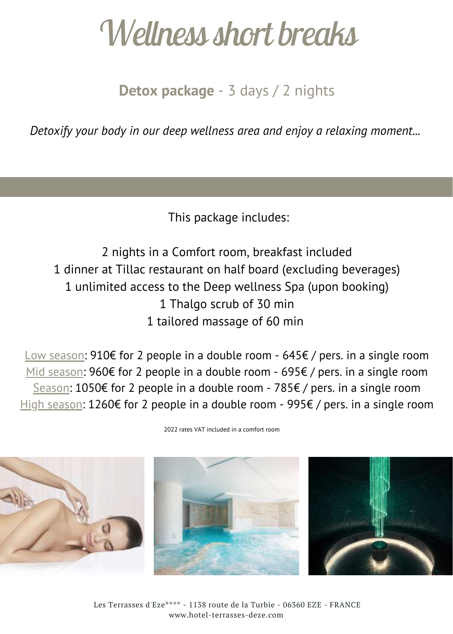# *Wellnessshort breaks*

**Detox package** - 3 days / 2 nights

*Detoxify your body in our deep wellness area and enjoy a relaxing moment...*

This package includes:

 nights in a Comfort room, breakfast included dinner at Tillac restaurant on half board (excluding beverages) unlimited access to the Deep wellness Spa (upon booking) Thalgo scrub of 30 min tailored massage of 60 min

Low season: 910€ for 2 people in a double room -645€ / pers. in a single room Mid season: 960€ for 2 people in a double room - 695€ / pers. in a single room Season: 1050€ for 2 people in a double room -785€ / pers. in a single room High season: 1260€ for 2 people in a double room -995€ / pers. in a single room



2022 rates VAT included in a comfort room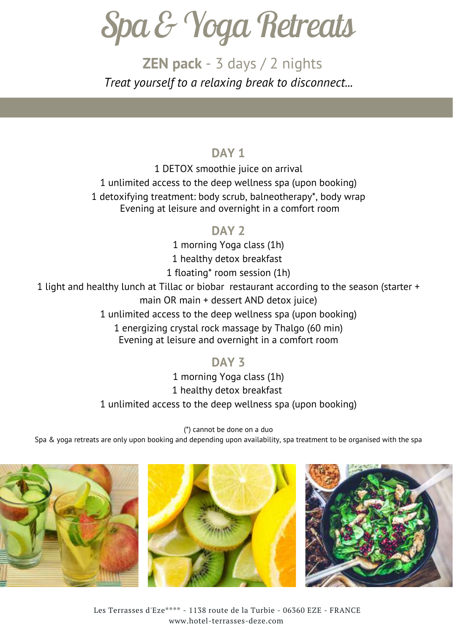*Spa&YogaRetreats*

**ZEN pack** - 3 days / 2 nights *Treat yourself to a relaxing break to disconnect...*

#### **DAY 1**

 DETOX smoothie juice on arrival unlimited access to the deep wellness spa (upon booking) detoxifying treatment: body scrub, balneotherapy\*, body wrap Evening at leisure and overnight in a comfort room

#### **DAY 2**

 morning Yoga class (1h) healthy detox breakfast floating\* room session (1h) light and healthy lunch at Tillac or biobar restaurant according to the season (starter + main OR main + dessert AND detox juice) unlimited access to the deep wellness spa (upon booking) energizing crystal rock massage by Thalgo (60 min) Evening at leisure and overnight in a comfort room

### **DAY 3**

1 morning Yoga class (1h) 1 healthy detox breakfast 1 unlimited access to the deep wellness spa (upon booking)

(\*) cannot be done on a duo Spa & yoga retreats are only upon booking and depending upon availability, spa treatment to be organised with the spa





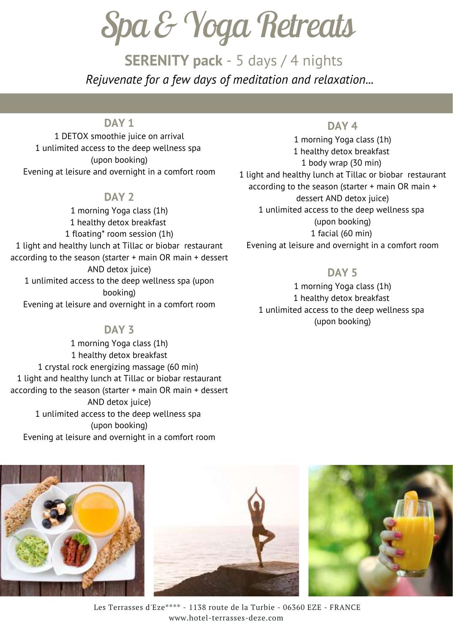*Spa&YogaRetreats*

**SERENITY pack** - 5 days / 4 nights *Rejuvenate for a few days of meditation and relaxation...*

#### **DAY 1**

1 DETOX smoothie juice on arrival 1 unlimited access to the deep wellness spa (upon booking) Evening at leisure and overnight in a comfort room

#### **DAY 2**

1 morning Yoga class (1h) 1 healthy detox breakfast 1 floating\* room session (1h) 1 light and healthy lunch at Tillac or biobar restaurant according to the season (starter + main OR main + dessert AND detox juice) 1 unlimited access to the deep wellness spa (upon booking) Evening at leisure and overnight in a comfort room

#### **DAY 3**

1 morning Yoga class (1h) 1 healthy detox breakfast 1 crystal rock energizing massage (60 min) 1 light and healthy lunch at Tillac or biobar restaurant according to the season (starter + main OR main + dessert AND detox juice) 1 unlimited access to the deep wellness spa (upon booking) Evening at leisure and overnight in a comfort room

#### **DAY 4**

1 morning Yoga class (1h) 1 healthy detox breakfast 1 body wrap (30 min) 1 light and healthy lunch at Tillac or biobar restaurant according to the season (starter + main OR main + dessert AND detox juice) 1 unlimited access to the deep wellness spa (upon booking) 1 facial (60 min) Evening at leisure and overnight in a comfort room

#### **DAY 5**

 morning Yoga class (1h) healthy detox breakfast unlimited access to the deep wellness spa (upon booking)







Les Terrasses d'Eze\*\*\*\* - 1138 route de la Turbie - 06360 EZE - FRANCE www.hotel-terrasses-deze.com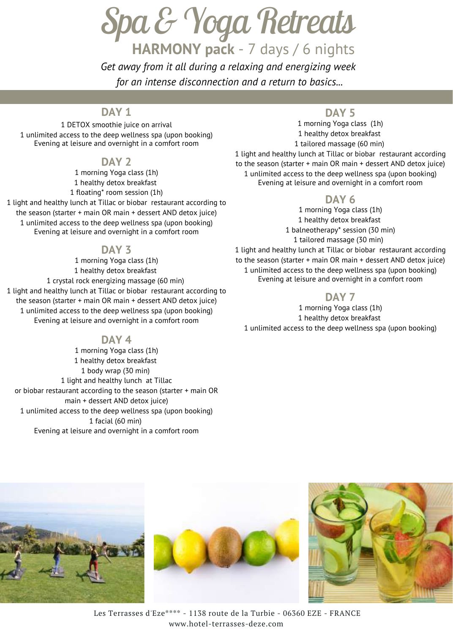*Spa&YogaRetreats* **HARMONY pack** - 7 days / 6 nights

*Get away from it all during a relaxing and energizing week for an intense disconnection and a return to basics...*

#### **DAY 1**

1 DETOX smoothie juice on arrival 1 unlimited access to the deep wellness spa (upon booking) Evening at leisure and overnight in a comfort room

#### **DAY 2**

1 morning Yoga class (1h) 1 healthy detox breakfast 1 floating\* room session (1h)

1 light and healthy lunch at Tillac or biobar restaurant according to the season (starter + main OR main + dessert AND detox juice) 1 unlimited access to the deep wellness spa (upon booking) Evening at leisure and overnight in a comfort room

#### **DAY 3**

 morning Yoga class (1h) healthy detox breakfast crystal rock energizing massage (60 min) light and healthy lunch at Tillac or biobar restaurant according to the season (starter + main OR main + dessert AND detox juice) unlimited access to the deep wellness spa (upon booking) Evening at leisure and overnight in a comfort room

#### **DAY 4**

 morning Yoga class (1h) healthy detox breakfast body wrap (30 min) light and healthy lunch at Tillac or biobar restaurant according to the season (starter + main OR main + dessert AND detox juice) unlimited access to the deep wellness spa (upon booking) facial (60 min) Evening at leisure and overnight in a comfort room

#### **DAY 5**

1 morning Yoga class (1h) 1 healthy detox breakfast 1 tailored massage (60 min)

1 light and healthy lunch at Tillac or biobar restaurant according to the season (starter + main OR main + dessert AND detox juice) 1 unlimited access to the deep wellness spa (upon booking) Evening at leisure and overnight in a comfort room

#### **DAY 6**

 morning Yoga class (1h) healthy detox breakfast balneotherapy\* session (30 min) tailored massage (30 min) light and healthy lunch at Tillac or biobar restaurant according to the season (starter + main OR main + dessert AND detox juice) unlimited access to the deep wellness spa (upon booking) Evening at leisure and overnight in a comfort room

#### **DAY 7**

1 morning Yoga class (1h) 1 healthy detox breakfast 1 unlimited access to the deep wellness spa (upon booking)